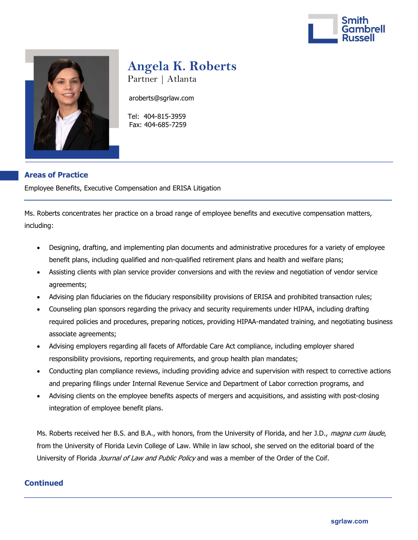



# Angela K. Roberts

Partner | Atlanta

aroberts@sgrlaw.com

 Tel: 404-815-3959 Fax: 404-685-7259

## Areas of Practice

Employee Benefits, Executive Compensation and ERISA Litigation

Ms. Roberts concentrates her practice on a broad range of employee benefits and executive compensation matters, including:

- Designing, drafting, and implementing plan documents and administrative procedures for a variety of employee benefit plans, including qualified and non-qualified retirement plans and health and welfare plans;
- Assisting clients with plan service provider conversions and with the review and negotiation of vendor service agreements;
- Advising plan fiduciaries on the fiduciary responsibility provisions of ERISA and prohibited transaction rules;
- Counseling plan sponsors regarding the privacy and security requirements under HIPAA, including drafting required policies and procedures, preparing notices, providing HIPAA-mandated training, and negotiating business associate agreements;
- Advising employers regarding all facets of Affordable Care Act compliance, including employer shared responsibility provisions, reporting requirements, and group health plan mandates;
- Conducting plan compliance reviews, including providing advice and supervision with respect to corrective actions and preparing filings under Internal Revenue Service and Department of Labor correction programs, and
- Advising clients on the employee benefits aspects of mergers and acquisitions, and assisting with post-closing integration of employee benefit plans.

Ms. Roberts received her B.S. and B.A., with honors, from the University of Florida, and her J.D., *magna cum laude*, from the University of Florida Levin College of Law. While in law school, she served on the editorial board of the University of Florida Journal of Law and Public Policy and was a member of the Order of the Coif.

#### **Continued**